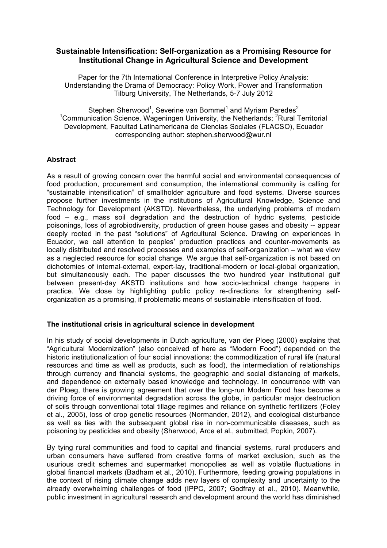# **Sustainable Intensification: Self-organization as a Promising Resource for Institutional Change in Agricultural Science and Development**

Paper for the 7th International Conference in Interpretive Policy Analysis: Understanding the Drama of Democracy: Policy Work, Power and Transformation Tilburg University, The Netherlands, 5-7 July 2012

Stephen Sherwood<sup>1</sup>, Severine van Bommel<sup>1</sup> and Myriam Paredes<sup>2</sup> <sup>1</sup>Communication Science, Wageningen University, the Netherlands; <sup>2</sup>Rural Territorial Development, Facultad Latinamericana de Ciencias Sociales (FLACSO), Ecuador corresponding author: stephen.sherwood@wur.nl

# **Abstract**

As a result of growing concern over the harmful social and environmental consequences of food production, procurement and consumption, the international community is calling for "sustainable intensification" of smallholder agriculture and food systems. Diverse sources propose further investments in the institutions of Agricultural Knowledge, Science and Technology for Development (AKSTD). Nevertheless, the underlying problems of modern food – e.g., mass soil degradation and the destruction of hydric systems, pesticide poisonings, loss of agrobiodiversity, production of green house gases and obesity -- appear deeply rooted in the past "solutions" of Agricultural Science. Drawing on experiences in Ecuador, we call attention to peoples' production practices and counter-movements as locally distributed and resolved processes and examples of self-organization – what we view as a neglected resource for social change. We argue that self-organization is not based on dichotomies of internal-external, expert-lay, traditional-modern or local-global organization, but simultaneously each. The paper discusses the two hundred year institutional gulf between present-day AKSTD institutions and how socio-technical change happens in practice. We close by highlighting public policy re-directions for strengthening selforganization as a promising, if problematic means of sustainable intensification of food.

# **The institutional crisis in agricultural science in development**

In his study of social developments in Dutch agriculture, van der Ploeg (2000) explains that "Agricultural Modernization" (also conceived of here as "Modern Food") depended on the historic institutionalization of four social innovations: the commoditization of rural life (natural resources and time as well as products, such as food), the intermediation of relationships through currency and financial systems, the geographic and social distancing of markets, and dependence on externally based knowledge and technology. In concurrence with van der Ploeg, there is growing agreement that over the long-run Modern Food has become a driving force of environmental degradation across the globe, in particular major destruction of soils through conventional total tillage regimes and reliance on synthetic fertilizers (Foley et al., 2005), loss of crop genetic resources (Normander, 2012), and ecological disturbance as well as ties with the subsequent global rise in non-communicable diseases, such as poisoning by pesticides and obesity (Sherwood, Arce et al., submitted; Popkin, 2007).

By tying rural communities and food to capital and financial systems, rural producers and urban consumers have suffered from creative forms of market exclusion, such as the usurious credit schemes and supermarket monopolies as well as volatile fluctuations in global financial markets (Badham et al., 2010). Furthermore, feeding growing populations in the context of rising climate change adds new layers of complexity and uncertainty to the already overwhelming challenges of food (IPPC, 2007; Godfray et al., 2010). Meanwhile, public investment in agricultural research and development around the world has diminished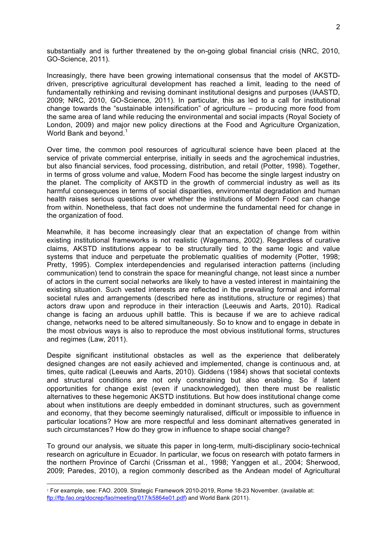substantially and is further threatened by the on-going global financial crisis (NRC, 2010, GO-Science, 2011).

Increasingly, there have been growing international consensus that the model of AKSTDdriven, prescriptive agricultural development has reached a limit, leading to the need of fundamentally rethinking and revising dominant institutional designs and purposes (IAASTD, 2009; NRC, 2010, GO-Science, 2011). In particular, this as led to a call for institutional change towards the "sustainable intensification" of agriculture – producing more food from the same area of land while reducing the environmental and social impacts (Royal Society of London, 2009) and major new policy directions at the Food and Agriculture Organization, World Bank and beyond.<sup>1</sup>

Over time, the common pool resources of agricultural science have been placed at the service of private commercial enterprise, initially in seeds and the agrochemical industries, but also financial services, food processing, distribution, and retail (Potter, 1998). Together, in terms of gross volume and value, Modern Food has become the single largest industry on the planet. The complicity of AKSTD in the growth of commercial industry as well as its harmful consequences in terms of social disparities, environmental degradation and human health raises serious questions over whether the institutions of Modern Food can change from within. Nonetheless, that fact does not undermine the fundamental need for change in the organization of food.

Meanwhile, it has become increasingly clear that an expectation of change from within existing institutional frameworks is not realistic (Wagemans, 2002). Regardless of curative claims, AKSTD institutions appear to be structurally tied to the same logic and value systems that induce and perpetuate the problematic qualities of modernity (Potter, 1998; Pretty, 1995). Complex interdependencies and regularised interaction patterns (including communication) tend to constrain the space for meaningful change, not least since a number of actors in the current social networks are likely to have a vested interest in maintaining the existing situation. Such vested interests are reflected in the prevailing formal and informal societal rules and arrangements (described here as institutions, structure or regimes) that actors draw upon and reproduce in their interaction (Leeuwis and Aarts, 2010). Radical change is facing an arduous uphill battle. This is because if we are to achieve radical change, networks need to be altered simultaneously. So to know and to engage in debate in the most obvious ways is also to reproduce the most obvious institutional forms, structures and regimes (Law, 2011).

Despite significant institutional obstacles as well as the experience that deliberately designed changes are not easily achieved and implemented, change is continuous and, at times, quite radical (Leeuwis and Aarts, 2010). Giddens (1984) shows that societal contexts and structural conditions are not only constraining but also enabling. So if latent opportunities for change exist (even if unacknowledged), then there must be realistic alternatives to these hegemonic AKSTD institutions. But how does institutional change come about when institutions are deeply embedded in dominant structures, such as government and economy, that they become seemingly naturalised, difficult or impossible to influence in particular locations? How are more respectful and less dominant alternatives generated in such circumstances? How do they grow in influence to shape social change?

To ground our analysis, we situate this paper in long-term, multi-disciplinary socio-technical research on agriculture in Ecuador. In particular, we focus on research with potato farmers in the northern Province of Carchi (Crissman et al., 1998; Yanggen et al., 2004; Sherwood, 2009; Paredes, 2010), a region commonly described as the Andean model of Agricultural

 $\overline{a}$ 

<sup>1</sup> For example, see: FAO. 2009. Strategic Framework 2010-2019, Rome 18-23 November. (available at: ftp://ftp.fao.org/docrep/fao/meeting/017/k5864e01.pdf) and World Bank (2011).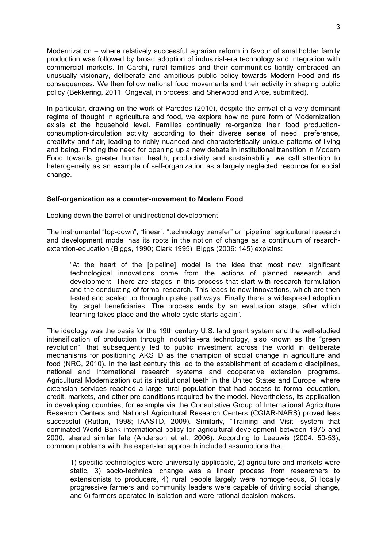Modernization – where relatively successful agrarian reform in favour of smallholder family production was followed by broad adoption of industrial-era technology and integration with commercial markets. In Carchi, rural families and their communities tightly embraced an unusually visionary, deliberate and ambitious public policy towards Modern Food and its consequences. We then follow national food movements and their activity in shaping public policy (Bekkering, 2011; Ongeval, in process; and Sherwood and Arce, submitted).

In particular, drawing on the work of Paredes (2010), despite the arrival of a very dominant regime of thought in agriculture and food, we explore how no pure form of Modernization exists at the household level. Families continually re-organize their food productionconsumption-circulation activity according to their diverse sense of need, preference, creativity and flair, leading to richly nuanced and characteristically unique patterns of living and being. Finding the need for opening up a new debate in institutional transition in Modern Food towards greater human health, productivity and sustainability, we call attention to heterogeneity as an example of self-organization as a largely neglected resource for social change.

# **Self-organization as a counter-movement to Modern Food**

## Looking down the barrel of unidirectional development

The instrumental "top-down", "linear", "technology transfer" or "pipeline" agricultural research and development model has its roots in the notion of change as a continuum of resarchextention-education (Biggs, 1990; Clark 1995). Biggs (2006; 145) explains:

"At the heart of the [pipeline] model is the idea that most new, significant technological innovations come from the actions of planned research and development. There are stages in this process that start with research formulation and the conducting of formal research. This leads to new innovations, which are then tested and scaled up through uptake pathways. Finally there is widespread adoption by target beneficiaries. The process ends by an evaluation stage, after which learning takes place and the whole cycle starts again".

The ideology was the basis for the 19th century U.S. land grant system and the well-studied intensification of production through industrial-era technology, also known as the "green revolution", that subsequently led to public investment across the world in deliberate mechanisms for positioning AKSTD as the champion of social change in agriculture and food (NRC, 2010). In the last century this led to the establishment of academic disciplines, national and international research systems and cooperative extension programs. Agricultural Modernization cut its institutional teeth in the United States and Europe, where extension services reached a large rural population that had access to formal education, credit, markets, and other pre-conditions required by the model. Nevertheless, its application in developing countries, for example via the Consultative Group of International Agriculture Research Centers and National Agricultural Research Centers (CGIAR-NARS) proved less successful (Ruttan, 1998; IAASTD, 2009). Similarly, "Training and Visit" system that dominated World Bank international policy for agricultural development between 1975 and 2000, shared similar fate (Anderson et al., 2006). According to Leeuwis (2004: 50-53), common problems with the expert-led approach included assumptions that:

1) specific technologies were universally applicable, 2) agriculture and markets were static, 3) socio-technical change was a linear process from researchers to extensionists to producers, 4) rural people largely were homogeneous, 5) locally progressive farmers and community leaders were capable of driving social change, and 6) farmers operated in isolation and were rational decision-makers.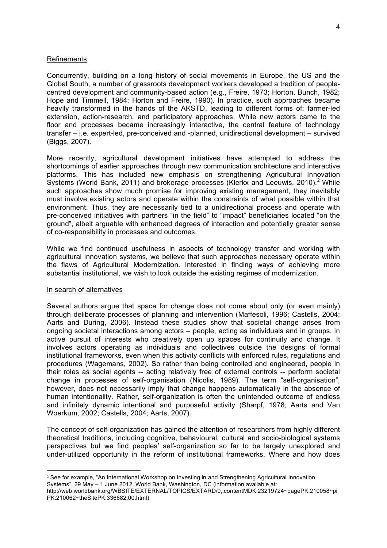#### Refinements

Concurrently, building on a long history of social movements in Europe, the US and the Global South, a number of grassroots development workers developed a tradition of peoplecentred development and community-based action (e.g., Freire, 1973; Horton, Bunch, 1982; Hope and Timmell, 1984; Horton and Freire, 1990). In practice, such approaches became heavily transformed in the hands of the AKSTD, leading to different forms of: farmer-led extension, action-research, and participatory approaches. While new actors came to the floor and processes became increasingly interactive, the central feature of technology transfer – i.e. expert-led, pre-conceived and -planned, unidirectional development – survived (Biggs, 2007).

More recently, agricultural development initiatives have attempted to address the shortcomings of earlier approaches through new communication architecture and interactive platforms. This has included new emphasis on strengthening Agricultural Innovation Systems (World Bank, 2011) and brokerage processes (Klerkx and Leeuwis, 2010).<sup>2</sup> While such approaches show much promise for improving existing management, they inevitably must involve existing actors and operate within the constraints of what possible within that environment. Thus, they are necessarily tied to a unidirectional process and operate with pre-conceived initiatives with partners "in the field" to "impact" beneficiaries located "on the ground", albeit arguable with enhanced degrees of interaction and potentially greater sense of co-responsibility in processes and outcomes.

While we find continued usefulness in aspects of technology transfer and working with agricultural innovation systems, we believe that such approaches necessary operate within the flaws of Agricultural Modernization. Interested in finding ways of achieving more substantial institutional, we wish to look outside the existing regimes of modernization.

#### In search of alternatives

Several authors argue that space for change does not come about only (or even mainly) through deliberate processes of planning and intervention (Maffesoli, 1996; Castells, 2004; Aarts and During, 2006). Instead these studies show that societal change arises from ongoing societal interactions among actors – people, acting as individuals and in groups, in active pursuit of interests who creatively open up spaces for continuity and change. It involves actors operating as individuals and collectives outside the designs of formal institutional frameworks, even when this activity conflicts with enforced rules, regulations and procedures (Wagemans, 2002). So rather than being controlled and engineered, people in their roles as social agents -- acting relatively free of external controls -- perform societal change in processes of self-organisation (Nicolis, 1989). The term "self-organisation", however, does not necessarily imply that change happens automatically in the absence of human intentionality. Rather, self-organization is often the unintended outcome of endless and infinitely dynamic intentional and purposeful activity (Sharpf, 1978; Aarts and Van Woerkum, 2002; Castells, 2004; Aarts, 2007).

The concept of self-organization has gained the attention of researchers from highly different theoretical traditions, including cognitive, behavioural, cultural and socio-biological systems perspectives but we find peoples' self-organization so far to be largely unexplored and under-utilized opportunity in the reform of institutional frameworks. Where and how does

<sup>2</sup> See for example, "An International Workshop on Investing in and Strengthening Agricultural Innovation Systems", 29 May – 1 June 2012. World Bank, Washington, DC (information available at:

http://web.worldbank.org/WBSITE/EXTERNAL/TOPICS/EXTARD/0,,contentMDK:23219724~pagePK:210058~pi PK:210062~theSitePK:336682,00.html)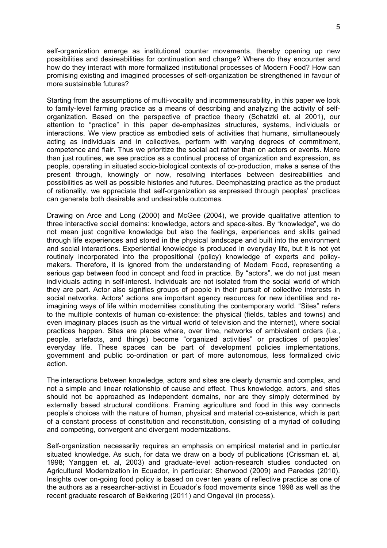self-organization emerge as institutional counter movements, thereby opening up new possibilities and desireabilities for continuation and change? Where do they encounter and how do they interact with more formalized institutional processes of Modern Food? How can promising existing and imagined processes of self-organization be strengthened in favour of more sustainable futures?

Starting from the assumptions of multi-vocality and incommensurability, in this paper we look to family-level farming practice as a means of describing and analyzing the activity of selforganization. Based on the perspective of practice theory (Schatzki et. al 2001), our attention to "practice" in this paper de-emphasizes structures, systems, individuals or interactions. We view practice as embodied sets of activities that humans, simultaneously acting as individuals and in collectives, perform with varying degrees of commitment, competence and flair. Thus we prioritize the social act rather than on actors or events. More than just routines, we see practice as a continual process of organization and expression, as people, operating in situated socio-biological contexts of co-production, make a sense of the present through, knowingly or now, resolving interfaces between desireabilities and possibilities as well as possible histories and futures. Deemphasizing practice as the product of rationality, we appreciate that self-organization as expressed through peoples' practices can generate both desirable and undesirable outcomes.

Drawing on Arce and Long (2000) and McGee (2004), we provide qualitative attention to three interactive social domains: knowledge, actors and space-sites. By "knowledge", we do not mean just cognitive knowledge but also the feelings, experiences and skills gained through life experiences and stored in the physical landscape and built into the environment and social interactions. Experiential knowledge is produced in everyday life, but it is not yet routinely incorporated into the propositional (policy) knowledge of experts and policymakers. Therefore, it is ignored from the understanding of Modern Food, representing a serious gap between food in concept and food in practice. By "actors", we do not just mean individuals acting in self-interest. Individuals are not isolated from the social world of which they are part. Actor also signifies groups of people in their pursuit of collective interests in social networks. Actors' actions are important agency resources for new identities and reimagining ways of life within modernities constituting the contemporary world. "Sites" refers to the multiple contexts of human co-existence: the physical (fields, tables and towns) and even imaginary places (such as the virtual world of television and the internet), where social practices happen. Sites are places where, over time, networks of ambivalent orders (i.e., people, artefacts, and things) become "organized activities" or practices of peoples' everyday life. These spaces can be part of development policies implementations, government and public co-ordination or part of more autonomous, less formalized civic action.

The interactions between knowledge, actors and sites are clearly dynamic and complex, and not a simple and linear relationship of cause and effect. Thus knowledge, actors, and sites should not be approached as independent domains, nor are they simply determined by externally based structural conditions. Framing agriculture and food in this way connects people's choices with the nature of human, physical and material co-existence, which is part of a constant process of constitution and reconstitution, consisting of a myriad of colluding and competing, convergent and divergent modernizations.

Self-organization necessarily requires an emphasis on empirical material and in particular situated knowledge. As such, for data we draw on a body of publications (Crissman et. al, 1998; Yanggen et. al, 2003) and graduate-level action-research studies conducted on Agricultural Modernization in Ecuador, in particular: Sherwood (2009) and Paredes (2010). Insights over on-going food policy is based on over ten years of reflective practice as one of the authors as a researcher-activist in Ecuador's food movements since 1998 as well as the recent graduate research of Bekkering (2011) and Ongeval (in process).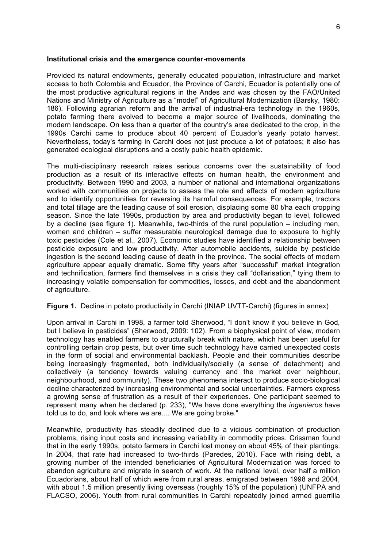#### **Institutional crisis and the emergence counter-movements**

Provided its natural endowments, generally educated population, infrastructure and market access to both Colombia and Ecuador, the Province of Carchi, Ecuador is potentially one of the most productive agricultural regions in the Andes and was chosen by the FAO/United Nations and Ministry of Agriculture as a "model" of Agricultural Modernization (Barsky, 1980: 186). Following agrarian reform and the arrival of industrial-era technology in the 1960s, potato farming there evolved to become a major source of livelihoods, dominating the modern landscape. On less than a quarter of the country's area dedicated to the crop, in the 1990s Carchi came to produce about 40 percent of Ecuador's yearly potato harvest. Nevertheless, today's farming in Carchi does not just produce a lot of potatoes; it also has generated ecological disruptions and a costly pubic health epidemic.

The multi-disciplinary research raises serious concerns over the sustainability of food production as a result of its interactive effects on human health, the environment and productivity. Between 1990 and 2003, a number of national and international organizations worked with communities on projects to assess the role and effects of modern agriculture and to identify opportunities for reversing its harmful consequences. For example, tractors and total tillage are the leading cause of soil erosion, displacing some 80 t/ha each cropping season. Since the late 1990s, production by area and productivity began to level, followed by a decline (see figure 1). Meanwhile, two-thirds of the rural population – including men, women and children – suffer measurable neurological damage due to exposure to highly toxic pesticides (Cole et al., 2007). Economic studies have identified a relationship between pesticide exposure and low productivity. After automobile accidents, suicide by pesticide ingestion is the second leading cause of death in the province. The social effects of modern agriculture appear equally dramatic. Some fifty years after "successful" market integration and technification, farmers find themselves in a crisis they call "dollarisation," tying them to increasingly volatile compensation for commodities, losses, and debt and the abandonment of agriculture.

## **Figure 1.** Decline in potato productivity in Carchi (INIAP UVTT-Carchi) (figures in annex)

Upon arrival in Carchi in 1998, a farmer told Sherwood, "I don't know if you believe in God, but I believe in pesticides" (Sherwood, 2009: 102). From a biophysical point of view, modern technology has enabled farmers to structurally break with nature, which has been useful for controlling certain crop pests, but over time such technology have carried unexpected costs in the form of social and environmental backlash. People and their communities describe being increasingly fragmented, both individually/socially (a sense of detachment) and collectively (a tendency towards valuing currency and the market over neighbour, neighbourhood, and community). These two phenomena interact to produce socio-biological decline characterized by increasing environmental and social uncertainties. Farmers express a growing sense of frustration as a result of their experiences. One participant seemed to represent many when he declared (p. 233), "We have done everything the *ingenieros* have told us to do, and look where we are.... We are going broke."

Meanwhile, productivity has steadily declined due to a vicious combination of production problems, rising input costs and increasing variability in commodity prices. Crissman found that in the early 1990s, potato farmers in Carchi lost money on about 45% of their plantings. In 2004, that rate had increased to two-thirds (Paredes, 2010). Face with rising debt, a growing number of the intended beneficiaries of Agricultural Modernization was forced to abandon agriculture and migrate in search of work. At the national level, over half a million Ecuadorians, about half of which were from rural areas, emigrated between 1998 and 2004, with about 1.5 million presently living overseas (roughly 15% of the population) (UNFPA and FLACSO, 2006). Youth from rural communities in Carchi repeatedly joined armed guerrilla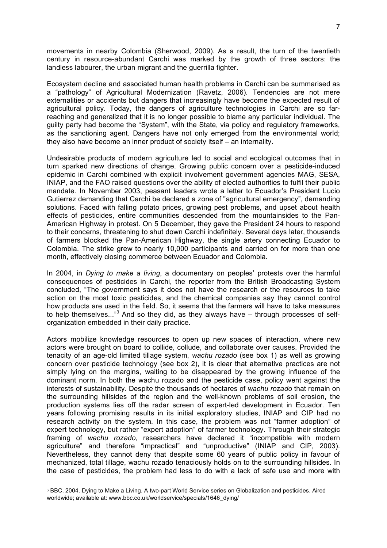movements in nearby Colombia (Sherwood, 2009). As a result, the turn of the twentieth century in resource-abundant Carchi was marked by the growth of three sectors: the landless labourer, the urban migrant and the guerrilla fighter.

Ecosystem decline and associated human health problems in Carchi can be summarised as a "pathology" of Agricultural Modernization (Ravetz, 2006). Tendencies are not mere externalities or accidents but dangers that increasingly have become the expected result of agricultural policy. Today, the dangers of agriculture technologies in Carchi are so farreaching and generalized that it is no longer possible to blame any particular individual. The guilty party had become the "System", with the State, via policy and regulatory frameworks, as the sanctioning agent. Dangers have not only emerged from the environmental world; they also have become an inner product of society itself – an internality.

Undesirable products of modern agriculture led to social and ecological outcomes that in turn sparked new directions of change. Growing public concern over a pesticide-induced epidemic in Carchi combined with explicit involvement government agencies MAG, SESA, INIAP, and the FAO raised questions over the ability of elected authorities to fulfil their public mandate. In November 2003, peasant leaders wrote a letter to Ecuador's President Lucio Gutierrez demanding that Carchi be declared a zone of "agricultural emergency", demanding solutions. Faced with falling potato prices, growing pest problems, and upset about health effects of pesticides, entire communities descended from the mountainsides to the Pan-American Highway in protest. On 5 December, they gave the President 24 hours to respond to their concerns, threatening to shut down Carchi indefinitely. Several days later, thousands of farmers blocked the Pan-American Highway, the single artery connecting Ecuador to Colombia. The strike grew to nearly 10,000 participants and carried on for more than one month, effectively closing commerce between Ecuador and Colombia.

In 2004, in *Dying to make a living*, a documentary on peoples' protests over the harmful consequences of pesticides in Carchi, the reporter from the British Broadcasting System concluded, "The government says it does not have the research or the resources to take action on the most toxic pesticides, and the chemical companies say they cannot control how products are used in the field. So, it seems that the farmers will have to take measures to help themselves..."<sup>3</sup> And so they did, as they always have – through processes of selforganization embedded in their daily practice.

Actors mobilize knowledge resources to open up new spaces of interaction, where new actors were brought on board to collide, collude, and collaborate over causes. Provided the tenacity of an age-old limited tillage system, *wachu rozado* (see box 1) as well as growing concern over pesticide technology (see box 2), it is clear that alternative practices are not simply lying on the margins, waiting to be disappeared by the growing influence of the dominant norm. In both the wachu rozado and the pesticide case, policy went against the interests of sustainability. Despite the thousands of hectares of *wachu rozado* that remain on the surrounding hillsides of the region and the well-known problems of soil erosion, the production systems lies off the radar screen of expert-led development in Ecuador. Ten years following promising results in its initial exploratory studies, INIAP and CIP had no research activity on the system. In this case, the problem was not "farmer adoption" of expert technology, but rather "expert adoption" of farmer technology. Through their strategic framing of *wachu rozado*, researchers have declared it "incompatible with modern agriculture" and therefore "impractical" and "unproductive" (INIAP and CIP, 2003). Nevertheless, they cannot deny that despite some 60 years of public policy in favour of mechanized, total tillage, wachu rozado tenaciously holds on to the surrounding hillsides. In the case of pesticides, the problem had less to do with a lack of safe use and more with

 $\overline{a}$ 

<sup>3</sup> BBC. 2004. Dying to Make a Living. A two-part World Service series on Globalization and pesticides. Aired worldwide; available at: www.bbc.co.uk/worldservice/specials/1646\_dying/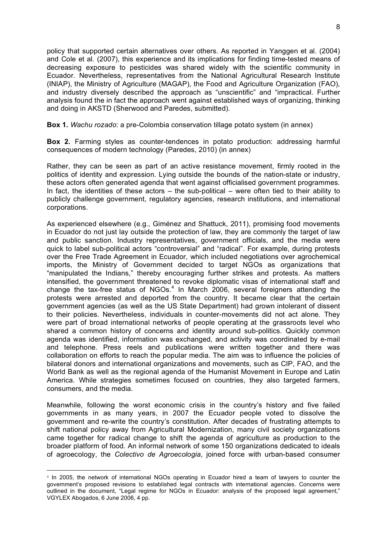policy that supported certain alternatives over others. As reported in Yanggen et al. (2004) and Cole et al. (2007), this experience and its implications for finding time-tested means of decreasing exposure to pesticides was shared widely with the scientific community in Ecuador. Nevertheless, representatives from the National Agricultural Research Institute (INIAP), the Ministry of Agriculture (MAGAP), the Food and Agriculture Organization (FAO), and industry diversely described the approach as "unscientific" and "impractical. Further analysis found the in fact the approach went against established ways of organizing, thinking and doing in AKSTD (Sherwood and Paredes, submitted).

**Box 1.** *Wachu rozado*: a pre-Colombia conservation tillage potato system (in annex)

**Box 2.** Farming styles as counter-tendences in potato production: addressing harmful consequences of modern technology (Paredes, 2010) (in annex)

Rather, they can be seen as part of an active resistance movement, firmly rooted in the politics of identity and expression. Lying outside the bounds of the nation-state or industry, these actors often generated agenda that went against officialised government programmes. In fact, the identities of these actors  $-$  the sub-political  $-$  were often tied to their ability to publicly challenge government, regulatory agencies, research institutions, and international corporations.

As experienced elsewhere (e.g., Giménez and Shattuck, 2011), promising food movements in Ecuador do not just lay outside the protection of law, they are commonly the target of law and public sanction. Industry representatives, government officials, and the media were quick to label sub-political actors "controversial" and "radical". For example, during protests over the Free Trade Agreement in Ecuador, which included negotiations over agrochemical imports, the Ministry of Government decided to target NGOs as organizations that "manipulated the Indians," thereby encouraging further strikes and protests. As matters intensified, the government threatened to revoke diplomatic visas of international staff and change the tax-free status of  $NGOs.<sup>4</sup>$  In March 2006, several foreigners attending the protests were arrested and deported from the country. It became clear that the certain government agencies (as well as the US State Department) had grown intolerant of dissent to their policies. Nevertheless, individuals in counter-movements did not act alone. They were part of broad international networks of people operating at the grassroots level who shared a common history of concerns and identity around sub-politics. Quickly common agenda was identified, information was exchanged, and activity was coordinated by e-mail and telephone. Press reels and publications were written together and there was collaboration on efforts to reach the popular media. The aim was to influence the policies of bilateral donors and international organizations and movements, such as CIP, FAO, and the World Bank as well as the regional agenda of the Humanist Movement in Europe and Latin America. While strategies sometimes focused on countries, they also targeted farmers, consumers, and the media.

Meanwhile, following the worst economic crisis in the country's history and five failed governments in as many years, in 2007 the Ecuador people voted to dissolve the government and re-write the country's constitution. After decades of frustrating attempts to shift national policy away from Agricultural Modernization, many civil society organizations came together for radical change to shift the agenda of agriculture as production to the broader platform of food. An informal network of some 150 organizations dedicated to ideals of agroecology, the *Colectivo de Agroecologia*, joined force with urban-based consumer

<sup>4</sup> In 2005, the network of international NGOs operating in Ecuador hired a team of lawyers to counter the government's proposed revisions to established legal contracts with international agencies. Concerns were outlined in the document, "Legal regime for NGOs in Ecuador: analysis of the proposed legal agreement," VGYLEX Abogados, 6 June 2006, 4 pp.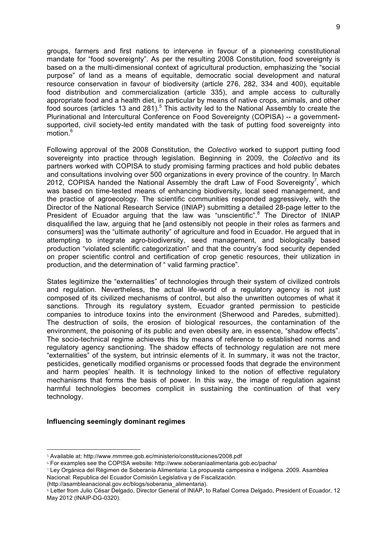groups, farmers and first nations to intervene in favour of a pioneering constitutional mandate for "food sovereignty". As per the resulting 2008 Constitution, food sovereignty is based on a the multi-dimensional context of agricultural production, emphasizing the "social purpose" of land as a means of equitable, democratic social development and natural resource conservation in favour of biodiversity (article 276, 282, 334 and 400), equitable food distribution and commercialization (article 335), and ample access to culturally appropriate food and a health diet, in particular by means of native crops, animals, and other food sources (articles 13 and 281).<sup>5</sup> This activity led to the National Assembly to create the Plurinational and Intercultural Conference on Food Sovereignty (COPISA) -- a governmentsupported, civil society-led entity mandated with the task of putting food sovereignty into motion $6$ 

Following approval of the 2008 Constitution, the *Colectivo* worked to support putting food sovereignty into practice through legislation. Beginning in 2009, the *Colectivo* and its partners worked with COPISA to study promising farming practices and hold public debates and consultations involving over 500 organizations in every province of the country. In March 2012, COPISA handed the National Assembly the draft Law of Food Sovereignty<sup>7</sup>, which was based on time-tested means of enhancing biodiversity, local seed management, and the practice of agroecology. The scientific communities responded aggressively, with the Director of the National Research Service (INIAP) submitting a detailed 28-page letter to the President of Ecuador arguing that the law was "unscientific".<sup>8</sup> The Director of INIAP disqualified the law, arguing that he [and ostensibly not people in their roles as farmers and consumers] was the "ultimate authority" of agriculture and food in Ecuador. He argued that in attempting to integrate agro-biodiversity, seed management, and biologically based production "violated scientific categorization" and that the country's food security depended on proper scientific control and certification of crop genetic resources, their utilization in production, and the determination of " valid farming practice".

States legitimize the "externalities" of technologies through their system of civilized controls and regulation. Nevertheless, the actual life-world of a regulatory agency is not just composed of its civilized mechanisms of control, but also the unwritten outcomes of what it sanctions. Through its regulatory system, Ecuador granted permission to pesticide companies to introduce toxins into the environment (Sherwood and Paredes, submitted). The destruction of soils, the erosion of biological resources, the contamination of the environment, the poisoning of its public and even obesity are, in essence, "shadow effects". The socio-technical regime achieves this by means of reference to established norms and regulatory agency sanctioning. The shadow effects of technology regulation are not mere "externalities" of the system, but intrinsic elements of it. In summary, it was not the tractor, pesticides, genetically modified organisms or processed foods that degrade the environment and harm peoples' health. It is technology linked to the notion of effective regulatory mechanisms that forms the basis of power. In this way, the image of regulation against harmful technologies becomes complicit in sustaining the continuation of that very technology.

## **Influencing seemingly dominant regimes**

<sup>5</sup> Available at: http://www.mmrree.gob.ec/ministerio/constituciones/2008.pdf

<sup>6</sup> For examples see the COPISA website: http://www.soberaniaalimentaria.gob.ec/pacha/

<sup>7</sup> Ley Orgánica del Régimen de Soberanía Alimentaria: La propuesta campesina e indígena. 2009. Asamblea Nacional: Republica del Ecuador Comisión Legislativa y de Fiscalización.

<sup>(</sup>http://asambleanacional.gov.ec/blogs/soberania\_alimentaria).

<sup>8</sup> Letter from Julio César Delgado, Director General of INIAP, to Rafael Correa Delgado, President of Ecuador, 12 May 2012 (INAIP-DG-0320).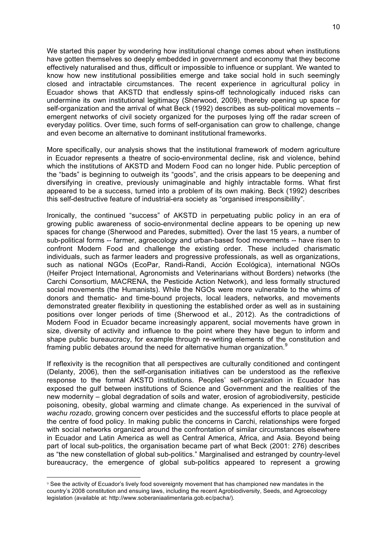We started this paper by wondering how institutional change comes about when institutions have gotten themselves so deeply embedded in government and economy that they become effectively naturalised and thus, difficult or impossible to influence or supplant. We wanted to know how new institutional possibilities emerge and take social hold in such seemingly closed and intractable circumstances. The recent experience in agricultural policy in Ecuador shows that AKSTD that endlessly spins-off technologically induced risks can undermine its own institutional legitimacy (Sherwood, 2009), thereby opening up space for self-organization and the arrival of what Beck (1992) describes as sub-political movements – emergent networks of civil society organized for the purposes lying off the radar screen of everyday politics. Over time, such forms of self-organisation can grow to challenge, change and even become an alternative to dominant institutional frameworks.

More specifically, our analysis shows that the institutional framework of modern agriculture in Ecuador represents a theatre of socio-environmental decline, risk and violence, behind which the institutions of AKSTD and Modern Food can no longer hide. Public perception of the "bads" is beginning to outweigh its "goods", and the crisis appears to be deepening and diversifying in creative, previously unimaginable and highly intractable forms. What first appeared to be a success, turned into a problem of its own making. Beck (1992) describes this self-destructive feature of industrial-era society as "organised irresponsibility".

Ironically, the continued "success" of AKSTD in perpetuating public policy in an era of growing public awareness of socio-environmental decline appears to be opening up new spaces for change (Sherwood and Paredes, submitted). Over the last 15 years, a number of sub-political forms -- farmer, agroecology and urban-based food movements -- have risen to confront Modern Food and challenge the existing order. These included charismatic individuals, such as farmer leaders and progressive professionals, as well as organizations, such as national NGOs (EcoPar, Randi-Randi, Acción Ecológica), international NGOs (Heifer Project International, Agronomists and Veterinarians without Borders) networks (the Carchi Consortium, MACRENA, the Pesticide Action Network), and less formally structured social movements (the Humanists). While the NGOs were more vulnerable to the whims of donors and thematic- and time-bound projects, local leaders, networks, and movements demonstrated greater flexibility in questioning the established order as well as in sustaining positions over longer periods of time (Sherwood et al., 2012). As the contradictions of Modern Food in Ecuador became increasingly apparent, social movements have grown in size, diversity of activity and influence to the point where they have begun to inform and shape public bureaucracy, for example through re-writing elements of the constitution and framing public debates around the need for alternative human organization.<sup>9</sup>

If reflexivity is the recognition that all perspectives are culturally conditioned and contingent (Delanty, 2006), then the self-organisation initiatives can be understood as the reflexive response to the formal AKSTD institutions. Peoples' self-organization in Ecuador has exposed the gulf between institutions of Science and Government and the realities of the new modernity – global degradation of soils and water, erosion of agrobiodiversity, pesticide poisoning, obesity, global warming and climate change. As experienced in the survival of *wachu rozado*, growing concern over pesticides and the successful efforts to place people at the centre of food policy. In making public the concerns in Carchi, relationships were forged with social networks organized around the confrontation of similar circumstances elsewhere in Ecuador and Latin America as well as Central America, Africa, and Asia. Beyond being part of local sub-politics, the organisation became part of what Beck (2001: 276) describes as "the new constellation of global sub-politics." Marginalised and estranged by country-level bureaucracy, the emergence of global sub-politics appeared to represent a growing

<sup>9</sup> See the activity of Ecuador's lively food sovereignty movement that has championed new mandates in the country's 2008 constitution and ensuing laws, including the recent Agrobiodiversity, Seeds, and Agroecology legislation (available at: http://www.soberaniaalimentaria.gob.ec/pacha/).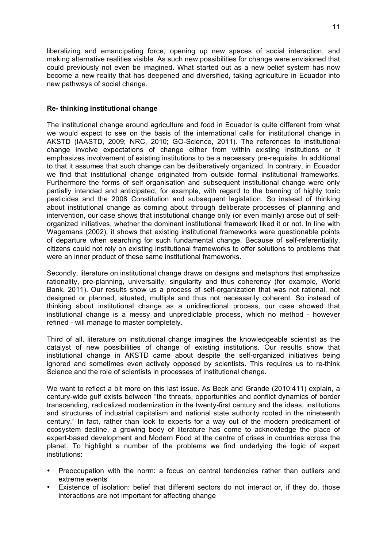liberalizing and emancipating force, opening up new spaces of social interaction, and making alternative realities visible. As such new possibilities for change were envisioned that could previously not even be imagined. What started out as a new belief system has now become a new reality that has deepened and diversified, taking agriculture in Ecuador into new pathways of social change.

# **Re- thinking institutional change**

The institutional change around agriculture and food in Ecuador is quite different from what we would expect to see on the basis of the international calls for institutional change in AKSTD (IAASTD, 2009; NRC, 2010; GO-Science, 2011). The references to institutional change involve expectations of change either from within existing institutions or it emphasizes involvement of existing institutions to be a necessary pre-requisite. In additional to that it assumes that such change can be deliberatively organized. In contrary, in Ecuador we find that institutional change originated from outside formal institutional frameworks. Furthermore the forms of self organisation and subsequent institutional change were only partially intended and anticipated, for example, with regard to the banning of highly toxic pesticides and the 2008 Constitution and subsequent legislation. So instead of thinking about institutional change as coming about through deliberate processes of planning and intervention, our case shows that institutional change only (or even mainly) arose out of selforganized initiatives, whether the dominant institutional framework liked it or not. In line with Wagemans (2002), it shows that existing institutional frameworks were questionable points of departure when searching for such fundamental change. Because of self-referentiality, citizens could not rely on existing institutional frameworks to offer solutions to problems that were an inner product of these same institutional frameworks.

Secondly, literature on institutional change draws on designs and metaphors that emphasize rationality, pre-planning, universality, singularity and thus coherency (for example, World Bank, 2011). Our results show us a process of self-organization that was not rational, not designed or planned, situated, multiple and thus not necessarily coherent. So instead of thinking about institutional change as a unidirectional process, our case showed that institutional change is a messy and unpredictable process, which no method - however refined - will manage to master completely.

Third of all, literature on institutional change imagines the knowledgeable scientist as the catalyst of new possibilities of change of existing institutions. Our results show that institutional change in AKSTD came about despite the self-organized initiatives being ignored and sometimes even actively opposed by scientists. This requires us to re-think Science and the role of scientists in processes of institutional change.

We want to reflect a bit more on this last issue. As Beck and Grande (2010:411) explain, a century-wide gulf exists between "the threats, opportunities and conflict dynamics of border transcending, radicalized modernization in the twenty-first century and the ideas, institutions and structures of industrial capitalism and national state authority rooted in the nineteenth century." In fact, rather than look to experts for a way out of the modern predicament of ecosystem decline, a growing body of literature has come to acknowledge the place of expert-based development and Modern Food at the centre of crises in countries across the planet. To highlight a number of the problems we find underlying the logic of expert institutions:

- Preoccupation with the norm: a focus on central tendencies rather than outliers and extreme events
- Existence of isolation: belief that different sectors do not interact or, if they do, those interactions are not important for affecting change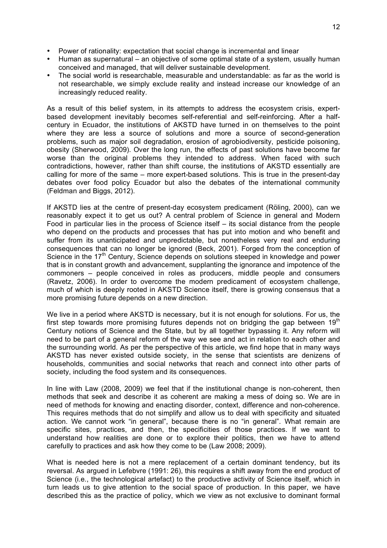- Power of rationality: expectation that social change is incremental and linear
- Human as supernatural an objective of some optimal state of a system, usually human conceived and managed, that will deliver sustainable development.
- The social world is researchable, measurable and understandable: as far as the world is not researchable, we simply exclude reality and instead increase our knowledge of an increasingly reduced reality.

As a result of this belief system, in its attempts to address the ecosystem crisis, expertbased development inevitably becomes self-referential and self-reinforcing. After a halfcentury in Ecuador, the institutions of AKSTD have turned in on themselves to the point where they are less a source of solutions and more a source of second-generation problems, such as major soil degradation, erosion of agrobiodiversity, pesticide poisoning, obesity (Sherwood, 2009). Over the long run, the effects of past solutions have become far worse than the original problems they intended to address. When faced with such contradictions, however, rather than shift course, the institutions of AKSTD essentially are calling for more of the same – more expert-based solutions. This is true in the present-day debates over food policy Ecuador but also the debates of the international community (Feldman and Biggs, 2012).

If AKSTD lies at the centre of present-day ecosystem predicament (Röling, 2000), can we reasonably expect it to get us out? A central problem of Science in general and Modern Food in particular lies in the process of Science itself – its social distance from the people who depend on the products and processes that has put into motion and who benefit and suffer from its unanticipated and unpredictable, but nonetheless very real and enduring consequences that can no longer be ignored (Beck, 2001). Forged from the conception of Science in the 17<sup>th</sup> Century, Science depends on solutions steeped in knowledge and power that is in constant growth and advancement, supplanting the ignorance and impotence of the commoners – people conceived in roles as producers, middle people and consumers (Ravetz, 2006). In order to overcome the modern predicament of ecosystem challenge, much of which is deeply rooted in AKSTD Science itself, there is growing consensus that a more promising future depends on a new direction.

We live in a period where AKSTD is necessary, but it is not enough for solutions. For us, the first step towards more promising futures depends not on bridging the gap between  $19<sup>th</sup>$ Century notions of Science and the State, but by all together bypassing it. Any reform will need to be part of a general reform of the way we see and act in relation to each other and the surrounding world. As per the perspective of this article, we find hope that in many ways AKSTD has never existed outside society, in the sense that scientists are denizens of households, communities and social networks that reach and connect into other parts of society, including the food system and its consequences.

In line with Law (2008, 2009) we feel that if the institutional change is non-coherent, then methods that seek and describe it as coherent are making a mess of doing so. We are in need of methods for knowing and enacting disorder, context, difference and non-coherence. This requires methods that do not simplify and allow us to deal with specificity and situated action. We cannot work "in general", because there is no "in general". What remain are specific sites, practices, and then, the specificities of those practices. If we want to understand how realities are done or to explore their politics, then we have to attend carefully to practices and ask how they come to be (Law 2008; 2009).

What is needed here is not a mere replacement of a certain dominant tendency, but its reversal. As argued in Lefebvre (1991: 26), this requires a shift away from the end product of Science (i.e., the technological artefact) to the productive activity of Science itself, which in turn leads us to give attention to the social space of production. In this paper, we have described this as the practice of policy, which we view as not exclusive to dominant formal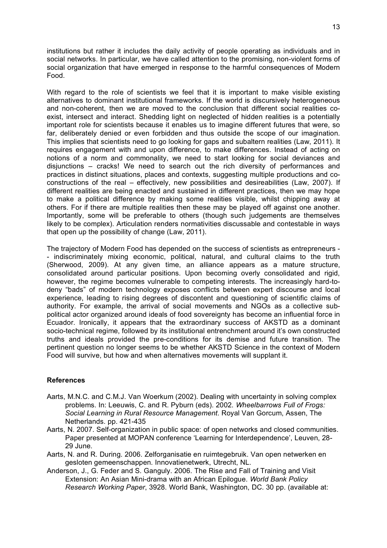institutions but rather it includes the daily activity of people operating as individuals and in social networks. In particular, we have called attention to the promising, non-violent forms of social organization that have emerged in response to the harmful consequences of Modern Food.

With regard to the role of scientists we feel that it is important to make visible existing alternatives to dominant institutional frameworks. If the world is discursively heterogeneous and non-coherent, then we are moved to the conclusion that different social realities coexist, intersect and interact. Shedding light on neglected of hidden realities is a potentially important role for scientists because it enables us to imagine different futures that were, so far, deliberately denied or even forbidden and thus outside the scope of our imagination. This implies that scientists need to go looking for gaps and subaltern realities (Law, 2011). It requires engagement with and upon difference, to make differences. Instead of acting on notions of a norm and commonality, we need to start looking for social deviances and disjunctions – cracks! We need to search out the rich diversity of performances and practices in distinct situations, places and contexts, suggesting multiple productions and coconstructions of the real – effectively, new possibilities and desireabilities (Law, 2007). If different realities are being enacted and sustained in different practices, then we may hope to make a political difference by making some realities visible, whilst chipping away at others. For if there are multiple realities then these may be played off against one another. Importantly, some will be preferable to others (though such judgements are themselves likely to be complex). Articulation renders normativities discussable and contestable in ways that open up the possibility of change (Law, 2011).

The trajectory of Modern Food has depended on the success of scientists as entrepreneurs - - indiscriminately mixing economic, political, natural, and cultural claims to the truth (Sherwood, 2009). At any given time, an alliance appears as a mature structure, consolidated around particular positions. Upon becoming overly consolidated and rigid, however, the regime becomes vulnerable to competing interests. The increasingly hard-todeny "bads" of modern technology exposes conflicts between expert discourse and local experience, leading to rising degrees of discontent and questioning of scientific claims of authority. For example, the arrival of social movements and NGOs as a collective subpolitical actor organized around ideals of food sovereignty has become an influential force in Ecuador. Ironically, it appears that the extraordinary success of AKSTD as a dominant socio-technical regime, followed by its institutional entrenchment around it's own constructed truths and ideals provided the pre-conditions for its demise and future transition. The pertinent question no longer seems to be whether AKSTD Science in the context of Modern Food will survive, but how and when alternatives movements will supplant it.

## **References**

- Aarts, M.N.C. and C.M.J. Van Woerkum (2002). Dealing with uncertainty in solving complex problems. In: Leeuwis, C. and R. Pyburn (eds). 2002. *Wheelbarrows Full of Frogs: Social Learning in Rural Resource Management*. Royal Van Gorcum, Assen, The Netherlands. pp. 421-435
- Aarts, N. 2007. Self-organization in public space: of open networks and closed communities. Paper presented at MOPAN conference 'Learning for Interdependence', Leuven, 28- 29 June.
- Aarts, N. and R. During. 2006. Zelforganisatie en ruimtegebruik. Van open netwerken en gesloten gemeenschappen. Innovatienetwerk, Utrecht, NL.
- Anderson, J., G. Feder and S. Ganguly. 2006. The Rise and Fall of Training and Visit Extension: An Asian Mini-drama with an African Epilogue. *World Bank Policy Research Working Paper*, 3928. World Bank, Washington, DC. 30 pp. (available at: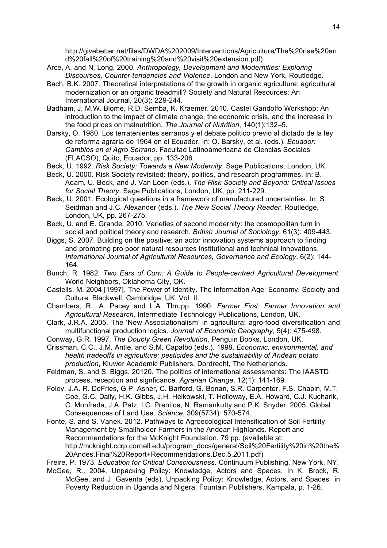http://givebetter.net/files/DWDA%202009/Interventions/Agriculture/The%20rise%20an d%20fall%20of%20training%20and%20visit%20extension.pdf)

- Arce, A. and N. Long, 2000. *Anthropology, Development and Modernities: Exploring Discourses, Counter-tendencies and Violence*. London and New York, Routledge.
- Bach, B.K. 2007. Theoretical interpretations of the growth in organic agriculture: agricultural modernization or an organic treadmill? Society and Natural Resources: An International Journal, 20(3): 229-244.
- Badham, J, M.W. Blome, R.D. Semba, K. Kraemer. 2010. Castel Gandolfo Workshop: An introduction to the impact of climate change, the economic crisis, and the increase in the food prices on malnutrition. *The Journal of Nutrition*, 140(1):132–5.
- Barsky, O. 1980. Los terratenientes serranos y el debate politico previo al dictado de la ley de reforma agraria de 1964 en el Ecuador. In: O. Barsky, et al. (eds.). *Ecuador: Cambios en el Agro Serrano*. Facultad Latinoamericana de Ciencias Sociales (FLACSO), Quito, Ecuador, pp. 133-206.
- Beck, U. 1992. *Risk Society: Towards a New Modernity*. Sage Publications, London, UK.
- Beck, U. 2000. Risk Society revisited: theory, politics, and research programmes. In: B. Adam, U. Beck, and J. Van Loon (eds.). *The Risk Society and Beyond: Critical Issues for Social Theory*. Sage Publications, London, UK, pp. 211-229.
- Beck, U. 2001. Ecological questions in a framework of manufactured uncertainties. In: S. Seidman and J.C. Alexander (eds.). *The New Social Theory Reader*. Routledge, London, UK, pp. 267-275.
- Beck, U. and E. Grande. 2010. Varieties of second modernity: the cosmopolitan turn in social and political theory and research. *British Journal of Sociology*, 61(3): 409-443.
- Biggs, S. 2007. Building on the positive: an actor innovation systems approach to finding and promoting pro poor natural resources institutional and technical innovations. *International Journal of Agricultural Resources, Governance and Ecology*, 6(2): 144- 164.
- Bunch, R. 1982. *Two Ears of Corn: A Guide to People-centred Agricultural Development*. World Neighbors, Oklahoma City, OK.
- Castells, M. 2004 [1997]. The Power of Identity. The Information Age: Economy, Society and Culture. Blackwell, Cambridge, UK. Vol. II.
- Chambers, R., A. Pacey and L.A. Thrupp. 1990. *Farmer First: Farmer Innovation and Agricultural Research*. Intermediate Technology Publications, London, UK.
- Clark, J.R.A. 2005. The 'New Associationalism' in agricultura: agro-food diversification and multifunctional production logics. *Journal of Economic Geography*, 5(4): 475-498.
- Conway, G.R. 1997. *The Doubly Green Revolution*. Penguin Books, London, UK.
- Crissman, C.C., J.M. Antle, and S.M. Capalbo (eds.). 1998. *Economic, environmental, and health tradeoffs in agriculture: pesticides and the sustainability of Andean potato production*, Kluwer Academic Publishers, Dordrecht, The Netherlands.
- Feldman, S. and S. Biggs. 20120. The politics of international assessments: The IAASTD process, reception and signficance. *Agrarian Change*, 12(1): 141-169.
- Foley, J.A. R. DeFries, G.P. Asner, C. Barford, G. Bonan, S.R. Carpenter, F.S. Chapin, M.T. Coe, G.C. Daily, H.K. Gibbs, J.H. Helkowski, T. Holloway, E.A. Howard, C.J. Kucharik, C. Monfreda, J.A. Patz, I.C. Prentice, N. Ramankutty and P.K. Snyder. 2005. Global Consequences of Land Use. *Science*, 309(5734): 570-574.
- Fonte, S. and S. Vanek. 2012. Pathways to Agroecological Intensification of Soil Fertility Management by Smallholder Farmers in the Andean Highlands. Report and Recommendations for the McKnight Foundation. 79 pp. (available at: http://mcknight.ccrp.cornell.edu/program\_docs/general/Soil%20Fertility%20in%20the% 20Andes.Final%20Report+Recommendations.Dec.5.2011.pdf)
- Freire, P. 1973. *Education for Critical Consciousness*. Continuum Publishing, New York, NY.
- McGee, R., 2004. Unpacking Policy: Knowledge, Actors and Spaces. In K. Brock, R. McGee, and J. Gaventa (eds), Unpacking Policy: Knowledge, Actors, and Spaces in Poverty Reduction in Uganda and Nigera, Fountain Publishers, Kampala, p. 1-26.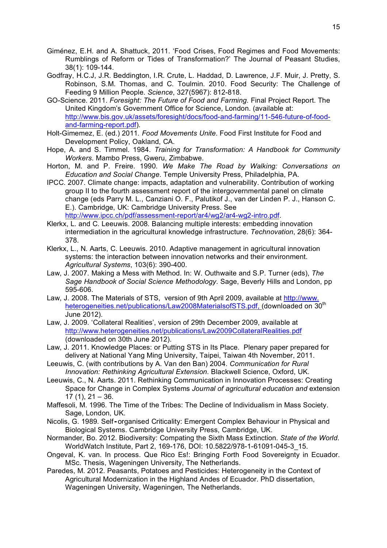- Giménez, E.H. and A. Shattuck, 2011. 'Food Crises, Food Regimes and Food Movements: Rumblings of Reform or Tides of Transformation?' The Journal of Peasant Studies, 38(1): 109-144.
- Godfray, H.C.J, J.R. Beddington, I.R. Crute, L. Haddad, D. Lawrence, J.F. Muir, J. Pretty, S. Robinson, S.M. Thomas, and C. Toulmin. 2010. Food Security: The Challenge of Feeding 9 Million People. *Science*, 327(5967): 812-818.
- GO-Science. 2011. *Foresight: The Future of Food and Farming*. Final Project Report. The United Kingdom's Government Office for Science, London. (available at: http://www.bis.gov.uk/assets/foresight/docs/food-and-farming/11-546-future-of-foodand-farming-report.pdf).
- Holt-Gimemez, E. (ed.) 2011*. Food Movements Unite*. Food First Institute for Food and Development Policy, Oakland, CA.
- Hope, A. and S. Timmel. 1984. *Training for Transformation: A Handbook for Community Workers*. Mambo Press, Gweru, Zimbabwe.
- Horton, M. and P. Freire. 1990. *We Make The Road by Walking: Conversations on Education and Social Change*. Temple University Press, Philadelphia, PA.
- IPCC. 2007. Climate change: impacts, adaptation and vulnerability. Contribution of working group II to the fourth assessment report of the intergovernmental panel on climate change (eds Parry M. L., Canziani O. F., Palutikof J., van der Linden P. J., Hanson C. E.). Cambridge, UK: Cambridge University Press. See http://www.ipcc.ch/pdf/assessment-report/ar4/wg2/ar4-wg2-intro.pdf.
- Klerkx, L. and C. Leeuwis. 2008. Balancing multiple interests: embedding innovation intermediation in the agricultural knowledge infrastructure. *Technovation*, 28(6): 364- 378.
- Klerkx, L., N. Aarts, C. Leeuwis. 2010. Adaptive management in agricultural innovation systems: the interaction between innovation networks and their environment. *Agricultural Systems*, 103(6): 390-400.
- Law, J. 2007. Making a Mess with Method. In: W. Outhwaite and S.P. Turner (eds), *The Sage Handbook of Social Science Methodology*. Sage, Beverly Hills and London, pp 595-606.
- Law, J. 2008. The Materials of STS, version of 9th April 2009, available at http://www. heterogeneities.net/publications/Law2008MaterialsofSTS.pdf, (downloaded on 30<sup>th</sup> June 2012).
- Law, J. 2009. 'Collateral Realities', version of 29th December 2009, available at http://www.heterogeneities.net/publications/Law2009CollateralRealities.pdf (downloaded on 30th June 2012).
- Law, J. 2011. Knowledge Places: or Putting STS in Its Place. Plenary paper prepared for delivery at National Yang Ming University, Taipei, Taiwan 4th November, 2011.
- Leeuwis, C. (with contributions by A. Van den Ban) 2004. *Communication for Rural Innovation: Rethinking Agricultural Extension*. Blackwell Science, Oxford, UK.
- Leeuwis, C., N. Aarts. 2011. Rethinking Communication in Innovation Processes: Creating Space for Change in Complex Systems *Journal of agricultural education and* extension  $17(1)$ ,  $21 - 36$ .
- Maffesoli, M. 1996. The Time of the Tribes: The Decline of Individualism in Mass Society. Sage, London, UK.
- Nicolis, G. 1989. Self**!**organised Criticality: Emergent Complex Behaviour in Physical and Biological Systems. Cambridge University Press, Cambridge, UK.
- Normander, Bo. 2012. Biodiversity: Compating the Sixth Mass Extinction. *State of the World*. WorldWatch Institute, Part 2, 169-176, DOI: 10.5822/978-1-61091-045-3\_15.
- Ongeval, K. van. In process. Que Rico Es!: Bringing Forth Food Sovereignty in Ecuador. MSc. Thesis, Wageningen University, The Netherlands.
- Paredes, M. 2012. Peasants, Potatoes and Pesticides: Heterogeneity in the Context of Agricultural Modernization in the Highland Andes of Ecuador. PhD dissertation, Wageningen University, Wageningen, The Netherlands.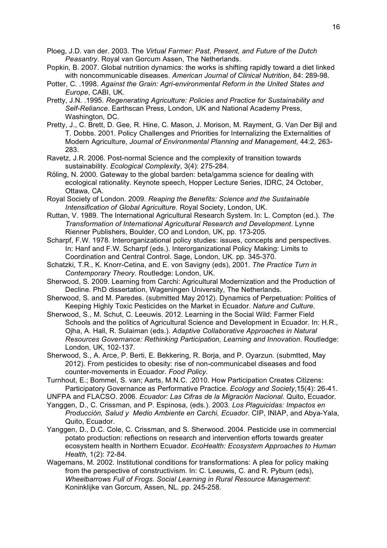- Ploeg, J.D. van der. 2003. The *Virtual Farmer: Past, Present, and Future of the Dutch Peasantry*. Royal van Gorcum Assen, The Netherlands.
- Popkin, B. 2007. Global nutrition dynamics: the works is shifting rapidly toward a diet linked with noncommunicable diseases. *American Journal of Clinical Nutrition*, 84: 289-98.
- Potter, C. .1998. *Against the Grain: Agri-environmental Reform in the United States and Europe*, CABI, UK.
- Pretty, J.N. .1995. *Regenerating Agriculture: Policies and Practice for Sustainability and Self-Reliance*. Earthscan Press, London, UK and National Academy Press, Washington, DC.
- Pretty, J., C. Brett, D. Gee, R. Hine, C. Mason, J. Morison, M. Rayment, G. Van Der Bijl and T. Dobbs. 2001. Policy Challenges and Priorities for Internalizing the Externalities of Modern Agriculture, *Journal of Environmental Planning and Management*, 44:2, 263- 283.
- Ravetz, J.R. 2006. Post-normal Science and the complexity of transition towards sustainability. *Ecological Complexity*, 3(4): 275-284.
- Röling, N. 2000. Gateway to the global barden: beta/gamma science for dealing with ecological rationality. Keynote speech, Hopper Lecture Series, IDRC, 24 October, Ottawa, CA.
- Royal Society of London. 2009. *Reaping the Benefits: Science and the Sustainable Intensification of Global Agriculture.* Royal Society, London, UK.
- Ruttan, V. 1989. The International Agricultural Research System. In: L. Compton (ed.). *The Transformation of International Agricultural Research and Development*. Lynne Rienner Publishers, Boulder, CO and London, UK, pp. 173-205.
- Scharpf, F.W. 1978. Interorganizational policy studies: issues, concepts and perspectives. In: Hanf and F.W. Scharpf (eds.). Interorganizational Policy Making: Limits to Coordination and Central Control. Sage, London, UK. pp. 345-370.
- Schatzki, T.R., K. Knorr-Cetina, and E. von Savigny (eds), 2001. *The Practice Turn in Contemporary Theory.* Routledge: London, UK.
- Sherwood, S. 2009. Learning from Carchi: Agricultural Modernization and the Production of Decline. PhD dissertation, Wageningen University, The Netherlands.
- Sherwood, S. and M. Paredes. (submitted May 2012). Dynamics of Perpetuation: Politics of Keeping Highly Toxic Pesticides on the Market in Ecuador. *Nature and Culture*.
- Sherwood, S., M. Schut, C. Leeuwis. 2012. Learning in the Social Wild: Farmer Field Schools and the politics of Agricultural Science and Development in Ecuador. In: H.R., Ojha, A. Hall, R. Sulaiman (eds.). *Adaptive Collaborative Approaches in Natural Resources Governance: Rethinking Participation, Learning and Innovation*. Routledge: London, UK, 102-137.
- Sherwood, S., A. Arce, P. Berti, E. Bekkering, R. Borja, and P. Oyarzun. (submtted, May 2012). From pesticides to obesity: rise of non-communicabel diseases and food counter-movements in Ecuador. *Food Policy*.
- Turnhout, E.; Bommel, S. van; Aarts, M.N.C. .2010. How Participation Creates Citizens: Participatory Governance as Performative Practice. *Ecology and Society*,15(4): 26-41.
- UNFPA and FLACSO. 2006. *Ecuador: Las Cifras de la Migración Nacional*. Quito, Ecuador.
- Yanggen, D., C. Crissman, and P. Espinosa, (eds.). 2003*. Los Plaguicidas: Impactos en Producción, Salud y Medio Ambiente en Carchi, Ecuador*. CIP, INIAP, and Abya-Yala, Quito, Ecuador.
- Yanggen, D., D.C. Cole, C. Crissman, and S. Sherwood. 2004. Pesticide use in commercial potato production: reflections on research and intervention efforts towards greater ecosystem health in Northern Ecuador. *EcoHealth: Ecosystem Approaches to Human Health*, 1(2): 72-84.
- Wagemans, M. 2002. Institutional conditions for transformations: A plea for policy making from the perspective of constructivism. In: C. Leeuwis, C. and R. Pyburn (eds), *Wheelbarrows Full of Frogs. Social Learning in Rural Resource Management*: Koninklijke van Gorcum, Assen, NL. pp. 245-258.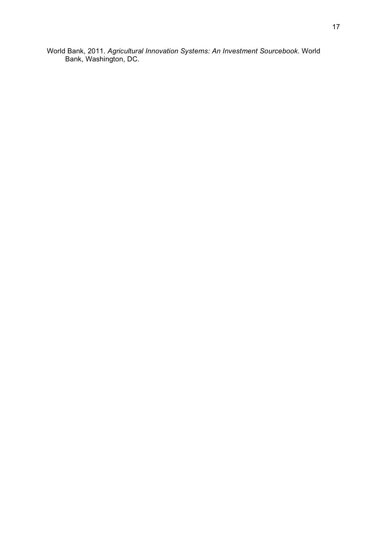World Bank, 2011. *Agricultural Innovation Systems: An Investment Sourcebook*. World Bank, Washington, DC.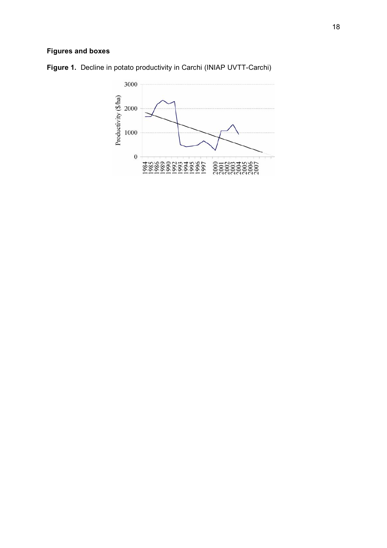# **Figures and boxes**



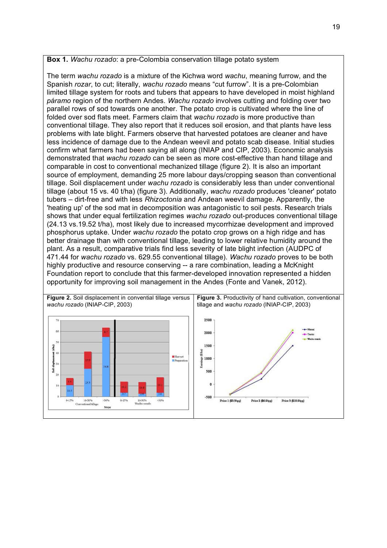## **Box 1.** *Wachu rozado*: a pre-Colombia conservation tillage potato system

The term *wachu rozado* is a mixture of the Kichwa word *wachu*, meaning furrow, and the Spanish *rozar*, to cut; literally, *wachu rozado* means "cut furrow". It is a pre-Colombian limited tillage system for roots and tubers that appears to have developed in moist highland *páramo* region of the northern Andes. *Wachu rozado* involves cutting and folding over two parallel rows of sod towards one another. The potato crop is cultivated where the line of folded over sod flats meet. Farmers claim that *wachu rozado* is more productive than conventional tillage. They also report that it reduces soil erosion, and that plants have less problems with late blight. Farmers observe that harvested potatoes are cleaner and have less incidence of damage due to the Andean weevil and potato scab disease. Initial studies confirm what farmers had been saying all along (INIAP and CIP, 2003). Economic analysis demonstrated that *wachu rozado* can be seen as more cost-effective than hand tillage and comparable in cost to conventional mechanized tillage (figure 2). It is also an important source of employment, demanding 25 more labour days/cropping season than conventional tillage. Soil displacement under *wachu rozado* is considerably less than under conventional tillage (about 15 vs. 40 t/ha) (figure 3). Additionally, *wachu rozado* produces 'cleaner' potato tubers – dirt-free and with less *Rhizoctonia* and Andean weevil damage. Apparently, the 'heating up' of the sod mat in decomposition was antagonistic to soil pests. Research trials shows that under equal fertilization regimes *wachu rozado* out-produces conventional tillage (24.13 vs.19.52 t/ha), most likely due to increased mycorrhizae development and improved phosphorus uptake. Under *wachu rozado* the potato crop grows on a high ridge and has better drainage than with conventional tillage, leading to lower relative humidity around the plant. As a result, comparative trials find less severity of late blight infection (AUDPC of 471.44 for *wachu rozado* vs. 629.55 conventional tillage). *Wachu rozado* proves to be both highly productive and resource conserving -- a rare combination, leading a McKnight Foundation report to conclude that this farmer-developed innovation represented a hidden opportunity for improving soil management in the Andes (Fonte and Vanek, 2012).